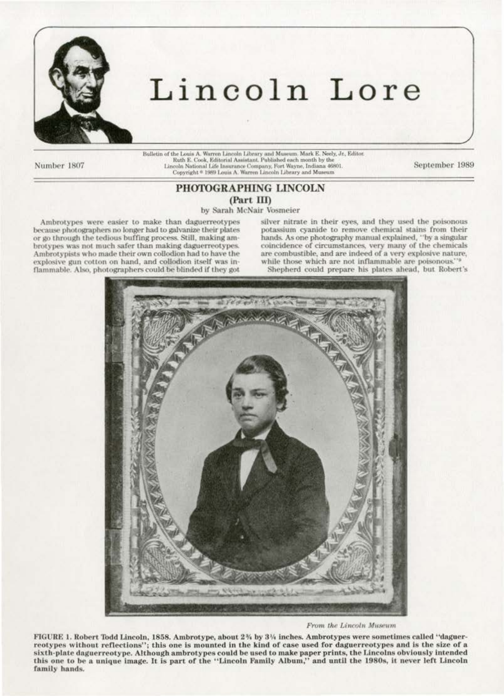

## Lincoln Lore

Number 1807

 $\label{thm:main}$  Balletin of the Louis A. Warren Lincoln Library and Museum. Mark E. Neely, Jr., Editor<br> Ruth E. Cook, Editorial Assistant. Published each month by the Lincoln National Life Insurance Company, Fort Wayne, Indian

September 1989

## PHOTOGRAPHING LINCOLN (Part III)

by Sarah McNair Vosmeier

Ambrotypes were easier to make than daguerreotypes because photographers no longer had to galvanize their plates or go through the tedious buffing process. Still, making ambrotypes was not much safer than making daguerreotypes. Ambrotypists who made their own collodion had to have the explosive gun cotton on hand, and collodion itself was inflammable. Also, photographers could be blinded if they got silver nitrate in their eyes, and they used the poisonous potassium cyanide to remove chemical stains from their hands. As one photography manual explained, "by a singular coincidence of circumstances, very many of the chemicals are combustible, and are indeed of a very explosive nature, while those which are not inflammable are poisonous." Shepherd could prepare his plates ahead, but Robert's



From the Lincoln Museum

FIGURE 1. Robert Todd Lincoln, 1858. Ambrotype, about 2% by 3% inches. Ambrotypes were sometimes called "daguerreotypes without reflections"; this one is mounted in the kind of case used for daguerreotypes and is the size of a sixth-plate daguerreotype. Although ambrotypes could be used to make paper prints, the Lincolns obviously intended this one to be a unique image. It is part of the "Lincoln Family Album," and until the 1980s, it never left Lincoln family hands.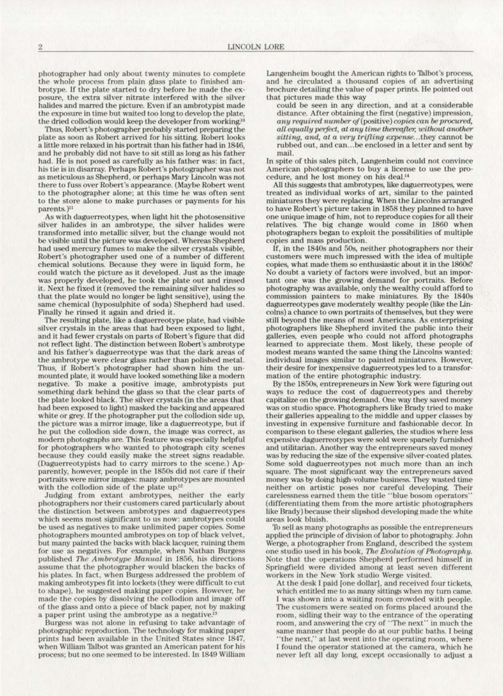photographer had only about twenty minutes to complete brotype. If the plate started to dry before he made the exposure, the extra silver nitrate interfered with the silver halides and marred the picture. Even if an ambrotypist made the exposure in time but waited too long to develop the plate, the dried collodion would keep the developer from working.<sup>10</sup>

Thus, Robert's photographer probably started preparing the plate as soon as Robert arrived for his sitting. Robert looks a little more relaxed in his portrait than his father had in 1846, and he probably did not have to sit still as long as his father had. He is not posed as carefully as his father was: in fact,<br>his tie is in disarray. Perhaps Robert's photographer was not as meticulous as Shepherd, or perhaps Mary Lincoln was not there to fuss over Robert's appearance. (Maybe Robert went to the photographer alone; at this time he was often sent to the store alone to make purchases or payments for his parents.)<sup>11</sup><br>As with daguerreotypes, when light hit the photosensitive

silver halides in an ambrotype, the silver halides were transformed into metallic silver, but the change would not be visible until the picture was developed. Whereas Shepherd had used mercury fumes to make the silver crystals visible, Robert's photographer used one of a number of different<br>chemical solutions. Because they were in liquid form, he could watch the picture as it developed. Just as the image was properly developed, he took the plate out and rinsed it. Next he fixed it (removed the remaining silver halides so that the plate would no longer be light sensitive). using the same chemical (hyposulphite of soda) Shepherd had used. Finally he rinsed it again and dried it.

The resulting plate, like a daguerreotype plate, had visible silver crystals in the areas that had been exposed to light, and it had fewer crystals on parts of Robert's figure that did not reflect light. The distinction between Robert's ambrotype and his father's daguerreotype was that the dark areas of the ambrotype were clear glass rather than polished metal. Thus, if Robert's photographer had shown him the un-<br>mounted plate, it would have looked something like a modern negative. To make a positive image, ambrotypists put something dark behind the glass so that the clear parts of the plate looked black. The silver crystals (in the areas that had been exposed to light) masked the backing and appeared white or grey. lf the photographer put the collodion side up, the picture was a mirror image, like a daguerreotype, but if<br>he put the collodion side down, the image was correct, as modern photographs are. This feature was especially helpful for photographers who wanted to photograph city scenes because they could easily make the street signs readable. (Daguerreotypists had to carry mirrors to the scene.) Apparently, however, people in the 1850s did not care if their portraits were mirror images: many ambrotypes are mounted with the collodion side of the plate up.<sup>12</sup>

Judging from extant ambrotypes, neither the early photographers nor their customers cared particularly about the distinction between ambrotypes and daguerreotypes which seems most significant to us now: ambrotypes could be used as negatives to make unlimited paper copies. Some photographers mounted ambrotypes on top of black velvet, but many painted the backs with black lacquer, ruining them for usc as negatives. For example, when Nathan Burgess published The Ambrotype Manual in 1856, his directions assume that the photographer would blacken the backs of his plates. In fact, when Burgess addressed the problem of making ambrotypes fit Into lockets (they were difficult to cut to shape), he suggested making paper copies. However, he made the copies by dissolving the collodion and image off of the glass and onto a piece of black paper, not by making a paper print using the ambrotype as a negative.<sup>13</sup>

Burgess was not alone in refusing to take advantage of photographic reproduction. The technology for making paper<br>prints had been available in the United States since 1847, when William Talbot was granted an American patent for his process; but no one seemed to be interested. In 1849 William

Langenheim bought the American rights to Talbot's process, and he circulated a thousand copies of an advertising brochure detailing the value of paper prints. He pointed out<br>that pictures made this way

could be seen in any direction, and at a considerable distance After obtaining the first (negative) impression, any required number of (positive) copies can be procured, *all equally perfect, at any time thereafter, without another* sitting, and, at a very trifling expense...they cannot be rubbed out, and can... be enclosed in a letter and sent by mail.

In spite of this sales pitch, Langenheim could not convince American photographers to buy a license to use the procedure, and he lost money on his deal.<sup>14</sup><br>All this suggests that ambrotypes, like daguerreotypes, were

treated as individual works of art, similar to the painted miniatures they were replacing. When the Lincolns arranged<br>to have Robert's picture taken in 1858 they planned to have one unique image of him, not to reproduce copies for all their re latives. The big change would come in 1860 when photographers began to exploit the possibilities of multiple copies and mass production.<br>If, in the 1840s and 50s, neither photographers nor their

customers were much impressed with the idea of multiple copies, what made them so enthusiastic about it in the 1860s?<br>No doubt a variety of factors were involved, but an important one was the growing demand for portraits. Before photography was available, only the wealthy could afford to commission painters to make miniatures. By the 1840s daguerreotypes gave moderately wealthy people (like the Lincolns) a chance to own portraits of themselves, but they were still beyond the means of most Americans. As enterprising photographers like Shepherd invited the public into their galleries, even people who could not afford photographs learned to appreciate them\_ Most likely, these people of modest means wanted the same thing the Lincolns wanted: individual images similar to painted miniatures. However, their desire for inexpensive daguerreotypes led to a transformation of the entire photographic industry.

By the 1860s, entrepreneurs in New York were figuring out ways to reduce the cost of daguerreotypes and thereby capitalize on the growing demand. One way they saved money was on studio space. Photographers like Brady tried to make their galleries appealing to the middle and upper classes by investing in expensive furniture and fashionable decor. In comparison to these elegant galleries, the studios where less expensive daguerreotypes were sold were sparsely furnished and utilitarian. Another way the entrepreneurs saved money was by reducing the size of the expensive silver-coated plates. Some sold daguerreotypes not much more than an inch square. The most significant way the entrepreneurs saved money was by doing high-volume business. They wasted time neither on artistic poses nor careful developing. Their carelessness earned them the title "blue bosom operators" (differentiating them from the more artistic photographers like Brady) because their slipshod developing made the white areas look bluish.

To sell as many photographs as possible the entrepreneurs applied the principle of division of labor to photography. John Werge, a photographer from England, described the system one studio used in his book, The Evolution of Photography. Note that the operations Shepherd performed himself in Springfield were divided among at least seven different workers in the New York studio Werge visited.

At the desk I paid [one dollar], and received four tickets, which entitled me to as many sittings when my tum came. I was shown into a waiting room crowded with people.<br>The customers were seated on forms placed around the room, sidling their way to the entrance of the operating room, and answering the cry of "The next" in much the same manner that people do at our public baths. I being "the next," at last went into the operating room, where I found the operator stationed at the camera, which he never left all day long, except occasionally to adjust a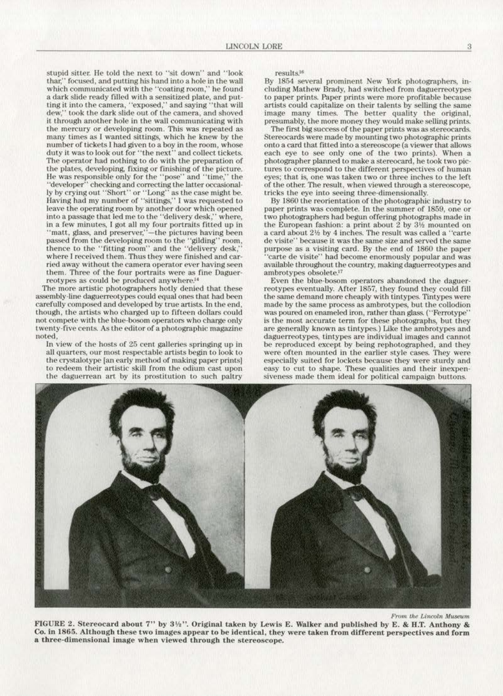stupid sitter. He told the next to "sit down" and "look thar," focused, and putting his hand into a hole in the wall which communicated with the "coating room," he found a dark slide ready filled with a sensitized plate, and putting it into the camera, "exposed," and saying "that will dew," took the dark slide out of the camera, and shoved it through another hole in the wall communicating with the mercury or developing room. This was repeated as many times as I wanted sittings. which he knew by the number of tickets I had given to a boy in the room, whose duty it was to look out for "the next" and collect tickets. The operator had nothing to do with the preparation of the plates, developing, fixing or finishing of the picture. He was responsible only for the "pose" and "time," the "developer" checking and correcting the latter occasionally by crying out "Short' ' or "Long" as the ease might be. Having had my number of "sittings," I was requested to leave the operating room by another door which opened into a passage that led me to the "delivery desk," where, in a few minutes, I got all my four portraits fitted up in "matt, glass, and preserver,"-the pictures having been passed from the developing room to the "gilding" room, thence to the "fitting room" and the "delivery desk," where I received them. Thus they were finished and car-<br>ried away without the camera operator ever having seen them. Three of the four portraits were as fine Daguerreotypes as could be produced anywhere.<sup>14</sup>

The more artistic photographers hotly denied that these assembly-line daguerreotypes could equal ones that had been carefully composed and developed by true artists. In the end, though, the artists who charged up to fifteen dollars could not compete with the blue-bosom operators who charge only twenty-five cents. As the editor of a photographic magazine noted,

In view of the hosts of 25 cent galleries springing up in all quarters, our most respectable artists begin to look to the crystalotype [an early method of making paper prints] to redeem their artistic skill from the odium cast upon the daguerrean art by its prostitution to such paltry

results.<sup>16</sup>

By 1854 several prominent New York photographers, in· cluding Mathew Brady, had switched from daguerreotypes to paper prints. Paper prints were more profitable because<br>artists could capitalize on their talents by selling the same image many times. The better quality the original, presumably, the more money they would make selling prints

The first big success of the paper prints was as stereocards. Stereocards were made by mounting two photographic prints onto a card that. fitted into a stereoscope (a viewer that aJiows each eye to see only one of the two prints). When a photographer planned to make a stereocard, he took two pictures to correspond to the different perspectives of human eyes; that is, one was taken two or three inches to the left of the other. The result, when viewed through a stereoscope, tricks the eye into seeing three·dimensionally.

By 1860 the reorientation of the photographic industry to paper prints was complete. In the summer of 1859, one or two photographers had begun offering photographs made in the European fashion: a print about 2 by  $3\frac{1}{2}$  mounted on a card about 21% by 4 inches. The result was called a "carte de visite" because it was the same size and served the same purpose as a visiting card. By the end of 1860 the paper 'carte de visite'' had become enormously popular and was available throughout the country, making daguerreotypes and ambrotypes obsolete."

Even the blue-bosom operators abandoned the daguerreotypes eventually. After 1857, they found they could fill the same demand more cheaply with tintypes. Tintypes were made by the same process as ambrotypes, but the collodion was poured on enameled iron, rather than glass. ("Ferrotype' is the most accurate term for these photographs, but they are generally known as tintypes.) Like the ambrotypes and daguerreotypes, tintypes are individual images and cannot be reproduced except by being rephotographed, and they were often mounted in the earlier style cases. They were especially suited for lockets because they were sturdy and siveness made them ideal for political campaign buttons.



*From the Lincoln Museum* 

FIGURE 2. Stereocard about 7" by 3½". Original taken by Lewis E. Walker and published by E. & H.T. Anthony & Co. in 1865. Although these two images appear to be identical, they were taken from different perspectives and form a three-dimensional image when viewed through the stereoscope.